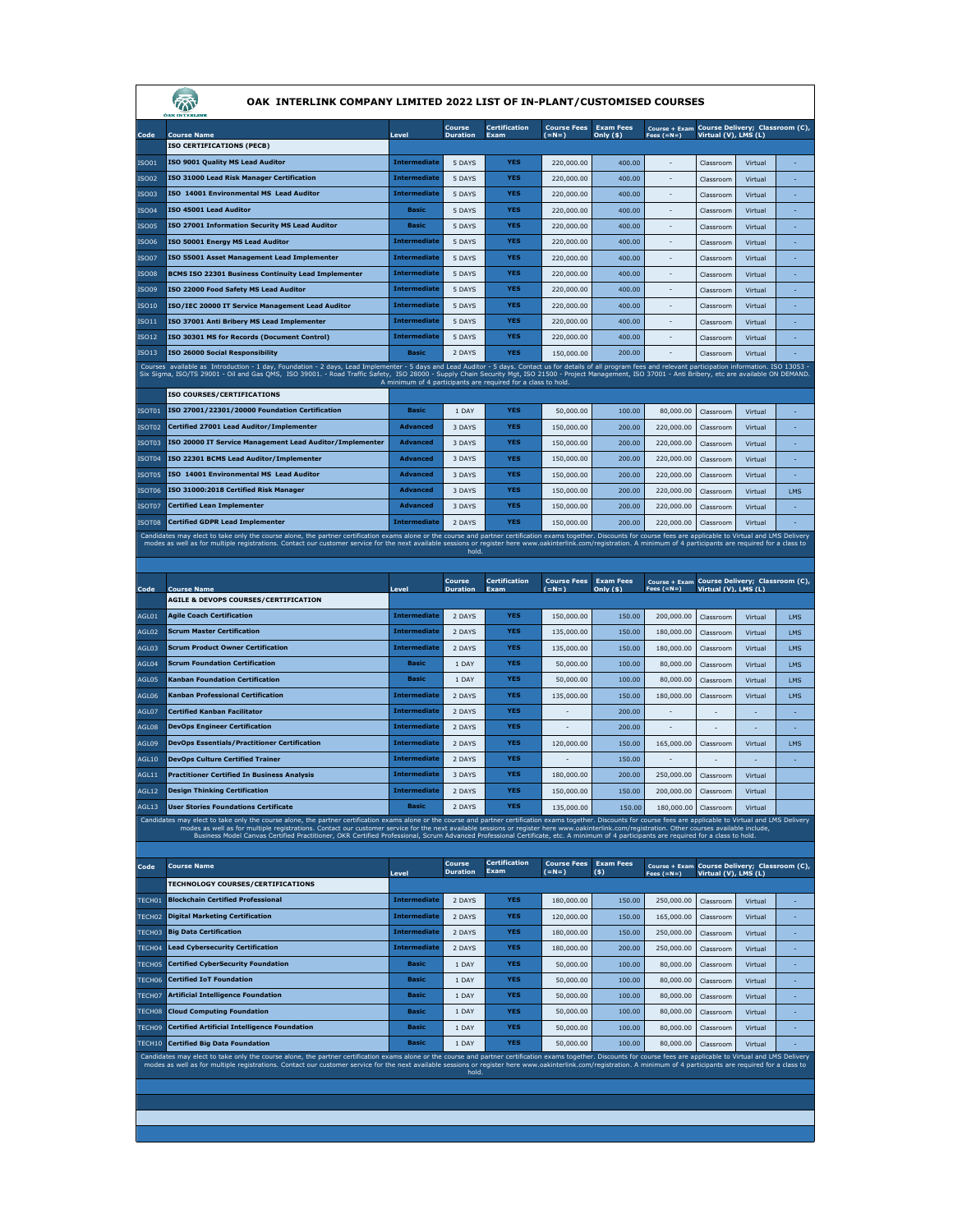| OAK INTERLINK COMPANY LIMITED 2022 LIST OF IN-PLANT/CUSTOMISED COURSES |                                                                                                                                                                                                                                                                                                                                                                                                                                                 |                                    |                           |                                                               |                               |                               |                                                               |                        |                    |        |
|------------------------------------------------------------------------|-------------------------------------------------------------------------------------------------------------------------------------------------------------------------------------------------------------------------------------------------------------------------------------------------------------------------------------------------------------------------------------------------------------------------------------------------|------------------------------------|---------------------------|---------------------------------------------------------------|-------------------------------|-------------------------------|---------------------------------------------------------------|------------------------|--------------------|--------|
|                                                                        |                                                                                                                                                                                                                                                                                                                                                                                                                                                 |                                    | Course                    | <b>Certification</b>                                          | <b>Course Fees</b>            | <b>Exam Fees</b>              | Course + Exam Course Delivery; Classroom (C),                 |                        |                    |        |
| Code                                                                   | <b>Course Name</b><br><b>ISO CERTIFICATIONS (PECB)</b>                                                                                                                                                                                                                                                                                                                                                                                          | Level                              | <b>Duration</b>           | Exam                                                          | $(=N=)$                       | Only $($ \$)                  | Fees $(=N=)$                                                  | Virtual (V), LMS (L)   |                    |        |
| ISO01                                                                  | ISO 9001 Quality MS Lead Auditor                                                                                                                                                                                                                                                                                                                                                                                                                | <b>Intermediate</b>                | 5 DAYS                    | YES                                                           | 220,000.00                    | 400.00                        |                                                               | Classroom              | Virtual            | ٠      |
| <b>ISO02</b>                                                           | ISO 31000 Lead Risk Manager Certification                                                                                                                                                                                                                                                                                                                                                                                                       | <b>Intermediate</b>                | 5 DAYS                    | <b>YES</b>                                                    | 220,000.00                    | 400.00                        |                                                               | Classroom              | Virtual            | ä,     |
| IS003                                                                  | ISO 14001 Environmental MS Lead Auditor                                                                                                                                                                                                                                                                                                                                                                                                         | <b>Intermediate</b>                | 5 DAYS                    | <b>YES</b>                                                    | 220,000.00                    | 400.00                        |                                                               | Classroom              | Virtual            |        |
| <b>ISO04</b>                                                           | ISO 45001 Lead Auditor                                                                                                                                                                                                                                                                                                                                                                                                                          | <b>Basic</b>                       | 5 DAYS                    | YES                                                           | 220,000.00                    | 400.00                        | $\frac{1}{2}$                                                 | Classroom              | Virtual            | ä,     |
| <b>ISO05</b>                                                           | ISO 27001 Information Security MS Lead Auditor                                                                                                                                                                                                                                                                                                                                                                                                  | <b>Basic</b>                       | 5 DAYS                    | <b>YES</b>                                                    | 220,000.00                    | 400.00                        |                                                               | Classroom              | Virtual            | ÷.     |
| <b>ISO06</b>                                                           | ISO 50001 Energy MS Lead Auditor                                                                                                                                                                                                                                                                                                                                                                                                                | <b>Intermediate</b>                | 5 DAYS                    | YES                                                           | 220,000.00                    | 400.00                        |                                                               | Classroom              | Virtual            | ٠      |
| <b>ISO07</b>                                                           | ISO 55001 Asset Management Lead Implementer                                                                                                                                                                                                                                                                                                                                                                                                     | <b>Intermediate</b>                | 5 DAYS                    | <b>YES</b>                                                    | 220,000.00                    | 400.00                        | $\overline{\phantom{a}}$                                      | Classroom              | Virtual            | ÷,     |
| <b>ISO08</b>                                                           | BCMS ISO 22301 Business Continuity Lead Implementer                                                                                                                                                                                                                                                                                                                                                                                             | Intermediate                       | 5 DAYS                    | <b>YES</b>                                                    | 220,000.00                    | 400.00                        |                                                               | Classroom              | Virtual            |        |
| <b>ISO09</b>                                                           | ISO 22000 Food Safety MS Lead Auditor                                                                                                                                                                                                                                                                                                                                                                                                           | <b>Intermediate</b>                | 5 DAYS                    | <b>YES</b>                                                    | 220,000.00                    | 400.00                        |                                                               | Classroom              | Virtual            | ä,     |
| <b>ISO10</b>                                                           | ISO/IEC 20000 IT Service Management Lead Auditor                                                                                                                                                                                                                                                                                                                                                                                                | <b>Intermediate</b>                | 5 DAYS                    | <b>YES</b>                                                    | 220,000.00                    | 400.00                        | $\overline{\phantom{a}}$                                      | Classroom              | Virtual            | ÷.     |
| <b>ISO11</b>                                                           | ISO 37001 Anti Bribery MS Lead Implementer                                                                                                                                                                                                                                                                                                                                                                                                      | <b>Intermediate</b>                | 5 DAYS                    | YES                                                           | 220,000.00                    | 400.00                        |                                                               | Classroom              | Virtual            | ٠      |
| <b>ISO12</b>                                                           | ISO 30301 MS for Records (Document Control)                                                                                                                                                                                                                                                                                                                                                                                                     | <b>Intermediate</b>                | 5 DAYS                    | <b>YES</b>                                                    | 220,000.00                    | 400.00                        |                                                               | Classroom              | Virtual            |        |
| ISO13                                                                  | ISO 26000 Social Responsibility                                                                                                                                                                                                                                                                                                                                                                                                                 | <b>Basic</b>                       | 2 DAYS                    | <b>YES</b>                                                    | 150,000,00                    | 200.00                        |                                                               | Classroom              | Virtual            |        |
|                                                                        | Courses available as Introduction - 1 day, Foundation - 2 days, Lead Implementer - 5 days and Lead Auditor - 5 days. Contact us for details of all program fees and relevant participation information. ISO 13053 -<br>Six Sigma, ISO/TS 29001 - Oil and Gas QMS, ISO 39001. - Road Traffic Safety, ISO 28000 - Supply Chain Security Mgt, ISO 21500 - Project Management, ISO 37001 - Anti Bribery, etc are available ON DEMAND.               |                                    |                           |                                                               |                               |                               |                                                               |                        |                    |        |
|                                                                        |                                                                                                                                                                                                                                                                                                                                                                                                                                                 |                                    |                           | A minimum of 4 participants are required for a class to hold. |                               |                               |                                                               |                        |                    |        |
|                                                                        | <b>ISO COURSES/CERTIFICATIONS</b><br>ISO 27001/22301/20000 Foundation Certification                                                                                                                                                                                                                                                                                                                                                             | <b>Basic</b>                       |                           | <b>YES</b>                                                    |                               |                               |                                                               |                        |                    |        |
| ISOT01                                                                 | Certified 27001 Lead Auditor/Implementer                                                                                                                                                                                                                                                                                                                                                                                                        | <b>Advanced</b>                    | 1 DAY                     | <b>YES</b>                                                    | 50,000.00                     | 100.00                        | 80,000.00                                                     | Classroom              | Virtual            | ÷,     |
| ISOT <sub>02</sub>                                                     | ISO 20000 IT Service Management Lead Auditor/Implementer                                                                                                                                                                                                                                                                                                                                                                                        |                                    | 3 DAYS                    | <b>YES</b>                                                    | 150,000.00<br>150,000.00      | 200.00                        | 220,000.00                                                    | Classroom              | Virtual            | ٠      |
| ISOT03<br>ISOT04                                                       | ISO 22301 BCMS Lead Auditor/Implementer                                                                                                                                                                                                                                                                                                                                                                                                         | <b>Advanced</b><br><b>Advanced</b> | 3 DAYS<br>3 DAYS          | <b>YES</b>                                                    | 150,000.00                    | 200.00<br>200.00              | 220,000,00<br>220,000.00                                      | Classroom<br>Classroom | Virtual            | ä,     |
|                                                                        | ISO 14001 Environmental MS Lead Auditor                                                                                                                                                                                                                                                                                                                                                                                                         | <b>Advanced</b>                    |                           | <b>YES</b>                                                    |                               |                               |                                                               |                        | Virtual            |        |
| ISOT05<br>ISOT06                                                       | ISO 31000:2018 Certified Risk Manager                                                                                                                                                                                                                                                                                                                                                                                                           | Advanced                           | 3 DAYS                    | YES                                                           | 150,000.00                    | 200.00                        | 220,000.00                                                    | Classroom<br>Classroom | Virtual            |        |
| ISOT07                                                                 | <b>Certified Lean Implementer</b>                                                                                                                                                                                                                                                                                                                                                                                                               | <b>Advanced</b>                    | 3 DAYS<br>3 DAYS          | <b>YES</b>                                                    | 150,000.00                    | 200.00<br>200.00              | 220,000.00                                                    |                        | Virtual            | LMS    |
| ISOT08                                                                 | <b>Certified GDPR Lead Implementer</b>                                                                                                                                                                                                                                                                                                                                                                                                          | <b>Intermediate</b>                | 2 DAYS                    | <b>YES</b>                                                    | 150,000.00<br>150,000.00      | 200.00                        | 220,000.00<br>220,000,00                                      | Classroom              | Virtual<br>Virtual | ÷      |
|                                                                        | Candidates may elect to take only the course alone, the partner certification exams alone or the course and partner certification exams together. Discounts for course fees are applicable to Virtual and LMS Delivery                                                                                                                                                                                                                          |                                    |                           |                                                               |                               |                               |                                                               | Classroom              |                    |        |
|                                                                        | modes as well as for multiple registrations. Contact our customer service for the next available sessions or register here www.oakinterlink.com/registration. A minimum of 4 participants are required for a class to                                                                                                                                                                                                                           |                                    | hold.                     |                                                               |                               |                               |                                                               |                        |                    |        |
|                                                                        |                                                                                                                                                                                                                                                                                                                                                                                                                                                 |                                    |                           |                                                               |                               |                               |                                                               |                        |                    |        |
| Code                                                                   | <b>Course Name</b>                                                                                                                                                                                                                                                                                                                                                                                                                              | Level                              | Course<br><b>Duration</b> | <b>Certification</b><br>Exam                                  | <b>Course Fees</b><br>$(=N=)$ | <b>Exam Fees</b><br>Only (\$) | Course + Exam Course Delivery; Classroom (C),                 |                        |                    |        |
|                                                                        | <b>AGILE &amp; DEVOPS COURSES/CERTIFICATION</b>                                                                                                                                                                                                                                                                                                                                                                                                 |                                    |                           |                                                               |                               |                               | Fees $(=N=)$                                                  | Virtual (V), LMS (L)   |                    |        |
| <b>AGL01</b>                                                           |                                                                                                                                                                                                                                                                                                                                                                                                                                                 |                                    |                           |                                                               |                               |                               |                                                               |                        |                    |        |
|                                                                        | <b>Agile Coach Certification</b>                                                                                                                                                                                                                                                                                                                                                                                                                | <b>Intermediate</b>                | 2 DAYS                    | <b>YES</b>                                                    | 150,000.00                    | 150.00                        | 200,000.00                                                    | Classroom              | Virtual            | LMS    |
| AGL02                                                                  | <b>Scrum Master Certification</b>                                                                                                                                                                                                                                                                                                                                                                                                               | <b>Intermediate</b>                | 2 DAYS                    | <b>YES</b>                                                    | 135,000.00                    | 150.00                        | 180,000,00                                                    | Classroom              | Virtual            | LMS    |
| AGL03                                                                  | <b>Scrum Product Owner Certification</b>                                                                                                                                                                                                                                                                                                                                                                                                        | <b>Intermediate</b>                | 2 DAYS                    | YES                                                           | 135,000.00                    | 150.00                        | 180,000.00                                                    | Classroom              | Virtual            | LMS    |
| AGL04                                                                  | <b>Scrum Foundation Certification</b>                                                                                                                                                                                                                                                                                                                                                                                                           | <b>Basic</b>                       | 1 DAY                     | <b>YES</b>                                                    | 50,000.00                     | 100.00                        | 80,000.00                                                     | Classroom              | Virtual            | LMS    |
| AGL05                                                                  | Kanban Foundation Certification                                                                                                                                                                                                                                                                                                                                                                                                                 | <b>Basic</b>                       | 1 DAY                     | <b>YES</b>                                                    | 50,000.00                     | 100.00                        | 80,000.00                                                     | Classroom              | Virtual            | LMS    |
| <b>AGL06</b>                                                           | Kanban Professional Certification                                                                                                                                                                                                                                                                                                                                                                                                               | <b>Intermediate</b>                | 2 DAYS                    | YES                                                           | 135,000.00                    | 150.00                        | 180,000.00                                                    | Classroom              | Virtual            | LMS    |
| AGL07                                                                  | <b>Certified Kanban Facilitator</b>                                                                                                                                                                                                                                                                                                                                                                                                             | <b>Intermediate</b>                | 2 DAYS                    | <b>YES</b>                                                    |                               | 200.00                        |                                                               |                        |                    | $\sim$ |
| AGL08                                                                  | <b>DevOps Engineer Certification</b>                                                                                                                                                                                                                                                                                                                                                                                                            | <b>Intermediate</b>                | 2 DAYS                    | YES                                                           |                               | 200.00                        |                                                               |                        |                    | ٠      |
| AGL09                                                                  | <b>DevOps Essentials/Practitioner Certification</b>                                                                                                                                                                                                                                                                                                                                                                                             | <b>Intermediate</b>                | 2 DAYS                    | <b>YES</b>                                                    | 120,000.00                    | 150.00                        | 165,000.00                                                    | Classroom              | Virtual            | LMS    |
| AGL10                                                                  | <b>DevOps Culture Certified Trainer</b>                                                                                                                                                                                                                                                                                                                                                                                                         | <b>Intermediate</b>                | 2 DAYS                    | <b>YES</b>                                                    |                               | 150.00                        |                                                               |                        |                    | ÷,     |
| AGL11                                                                  | <b>Practitioner Certified In Business Analysis</b>                                                                                                                                                                                                                                                                                                                                                                                              | <b>Intermediate</b>                | 3 DAYS                    | <b>YES</b>                                                    | 180,000.00                    | 200.00                        | 250,000,00                                                    | Classroom              | Virtual            |        |
| AGL12                                                                  | <b>Design Thinking Certification</b>                                                                                                                                                                                                                                                                                                                                                                                                            | <b>Intermediate</b>                | 2 DAYS                    | YES                                                           | 150,000.00                    | 150.00                        | 200,000.00                                                    | Classroom              | Virtual            |        |
| AGL13                                                                  | <b>User Stories Foundations Certificate</b>                                                                                                                                                                                                                                                                                                                                                                                                     | <b>Basic</b>                       | 2 DAYS                    | YES                                                           | 135,000.00                    | 150.00                        | 180,000,00                                                    | Classroom              | Virtual            |        |
|                                                                        | Candidates may elect to take only the course alone, the partner certification exams alone or the course and partner certification exams together. Discounts for course fees are applicable to Virtual and LMS Delivery<br>modes as well as for multiple registrations. Contact our customer service for the next available sessions or register here www.oakinterlink.com/registration. Other courses available include,                        |                                    |                           |                                                               |                               |                               |                                                               |                        |                    |        |
|                                                                        | Business Model Canvas Certified Practitioner, OKR Certified Professional, Scrum Advanced Professional Certificate, etc. A minimum of 4 participants are required for a class to hold.                                                                                                                                                                                                                                                           |                                    |                           |                                                               |                               |                               |                                                               |                        |                    |        |
|                                                                        |                                                                                                                                                                                                                                                                                                                                                                                                                                                 |                                    | <b>Course</b>             | <b>Certification</b>                                          | <b>Course Fees</b>            | <b>Exam Fees</b>              |                                                               |                        |                    |        |
| Code                                                                   | <b>Course Name</b>                                                                                                                                                                                                                                                                                                                                                                                                                              | Level                              | <b>Duration</b>           | Exam                                                          | $(=N=)$                       | (s)                           | Course + Exam Course Delivery; Classroom (C),<br>Fees $(=N=)$ | Virtual (V), LMS (L)   |                    |        |
|                                                                        | <b>TECHNOLOGY COURSES/CERTIFICATIONS</b>                                                                                                                                                                                                                                                                                                                                                                                                        | <b>Intermediate</b>                |                           | <b>YES</b>                                                    |                               |                               |                                                               | Classroom              |                    | ÷.     |
| TECH01                                                                 | <b>Blockchain Certified Professional</b>                                                                                                                                                                                                                                                                                                                                                                                                        | <b>Intermediate</b>                | 2 DAYS                    | <b>YES</b>                                                    | 180,000.00                    | 150.00                        | 250,000.00                                                    |                        | Virtual            | ÷.     |
| TECH <sub>02</sub><br>TECH03                                           | <b>Digital Marketing Certification</b>                                                                                                                                                                                                                                                                                                                                                                                                          | <b>Intermediate</b>                | 2 DAYS                    | YES                                                           | 120,000.00                    | 150.00                        | 165,000.00                                                    | Classroom              | Virtual            | ٠      |
| TECH04                                                                 | <b>Big Data Certification</b>                                                                                                                                                                                                                                                                                                                                                                                                                   | <b>Intermediate</b>                | 2 DAYS                    | <b>YES</b>                                                    | 180,000.00                    | 150.00                        | 250,000.00                                                    | Classroom              | Virtual<br>Virtual | ÷      |
| TECH05                                                                 | <b>Lead Cybersecurity Certification</b><br><b>Certified CyberSecurity Foundation</b>                                                                                                                                                                                                                                                                                                                                                            | <b>Basic</b>                       | 2 DAYS<br>1 DAY           | <b>YES</b>                                                    | 180,000.00<br>50,000.00       | 200.00<br>100.00              | 250,000.00<br>80,000,00                                       | Classroom              | Virtual            | ٠      |
| TECH06                                                                 | <b>Certified IoT Foundation</b>                                                                                                                                                                                                                                                                                                                                                                                                                 | <b>Basic</b>                       | 1 DAY                     | <b>YES</b>                                                    | 50.000.00                     | 100.00                        | 80,000,00                                                     | Classroom              | Virtual            | ٠      |
| TECH07                                                                 | <b>Artificial Intelligence Foundation</b>                                                                                                                                                                                                                                                                                                                                                                                                       | <b>Basic</b>                       | 1 DAY                     | YES                                                           | 50,000,00                     | 100.00                        |                                                               | Classroom              |                    | ÷.     |
| TECH08                                                                 | <b>Cloud Computing Foundation</b>                                                                                                                                                                                                                                                                                                                                                                                                               | <b>Basic</b>                       | 1 DAY                     | YES                                                           | 50,000.00                     | 100.00                        | 80,000.00<br>80,000.00                                        | Classroom<br>Classroom | Virtual<br>Virtual | ٠      |
| TECH09                                                                 | <b>Certified Artificial Intelligence Foundation</b>                                                                                                                                                                                                                                                                                                                                                                                             | <b>Basic</b>                       | 1 DAY                     | <b>YES</b>                                                    | 50,000.00                     | 100.00                        | 80,000.00                                                     | Classroom              | Virtual            | ÷,     |
| TECH10                                                                 | <b>Certified Big Data Foundation</b>                                                                                                                                                                                                                                                                                                                                                                                                            | <b>Basic</b>                       | 1 DAY                     | <b>YES</b>                                                    | 50,000.00                     | 100.00                        | 80,000.00                                                     | Classroom              | Virtual            |        |
|                                                                        | Candidates may elect to take only the course alone, the partner certification exams alone or the course and partner certification exams together. Discounts for course fees are applicable to Virtual and LMS Delivery<br>modes as well as for multiple registrations. Contact our customer service for the next available sessions or register here www.oakinterlink.com/registration. A minimum of 4 participants are required for a class to |                                    |                           |                                                               |                               |                               |                                                               |                        |                    |        |